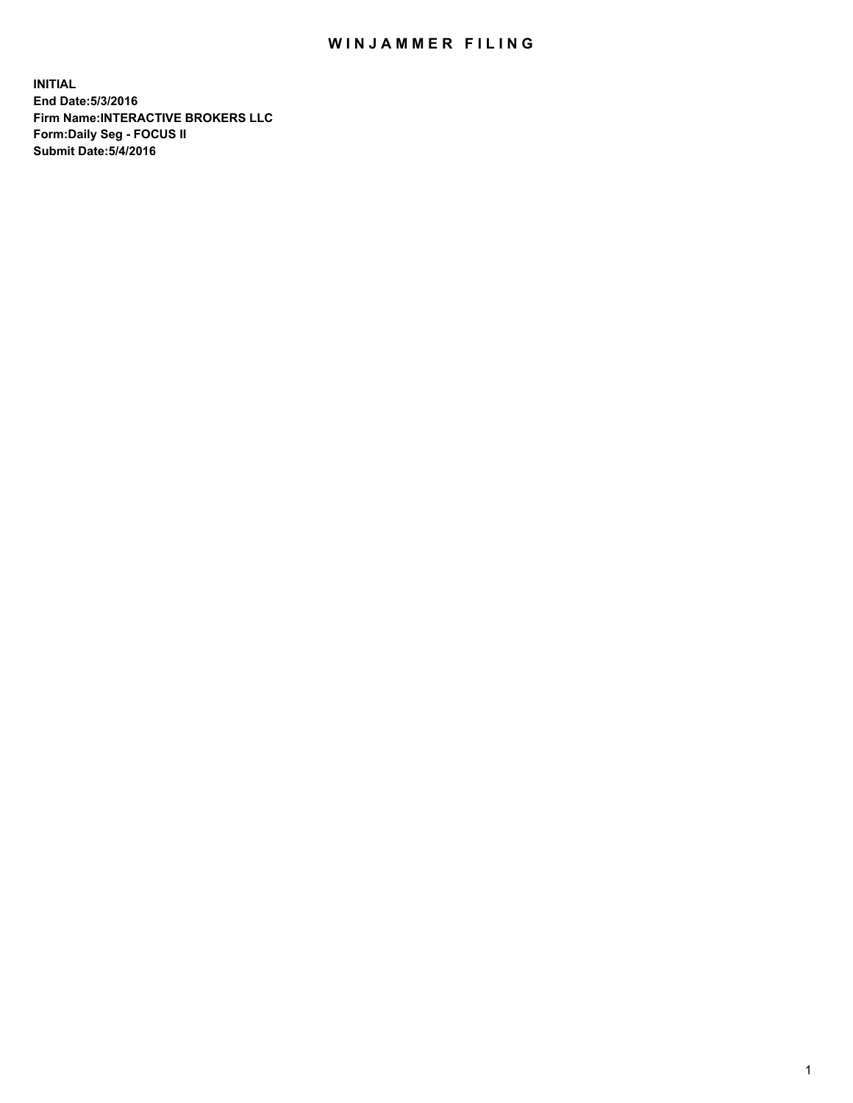## WIN JAMMER FILING

**INITIAL End Date:5/3/2016 Firm Name:INTERACTIVE BROKERS LLC Form:Daily Seg - FOCUS II Submit Date:5/4/2016**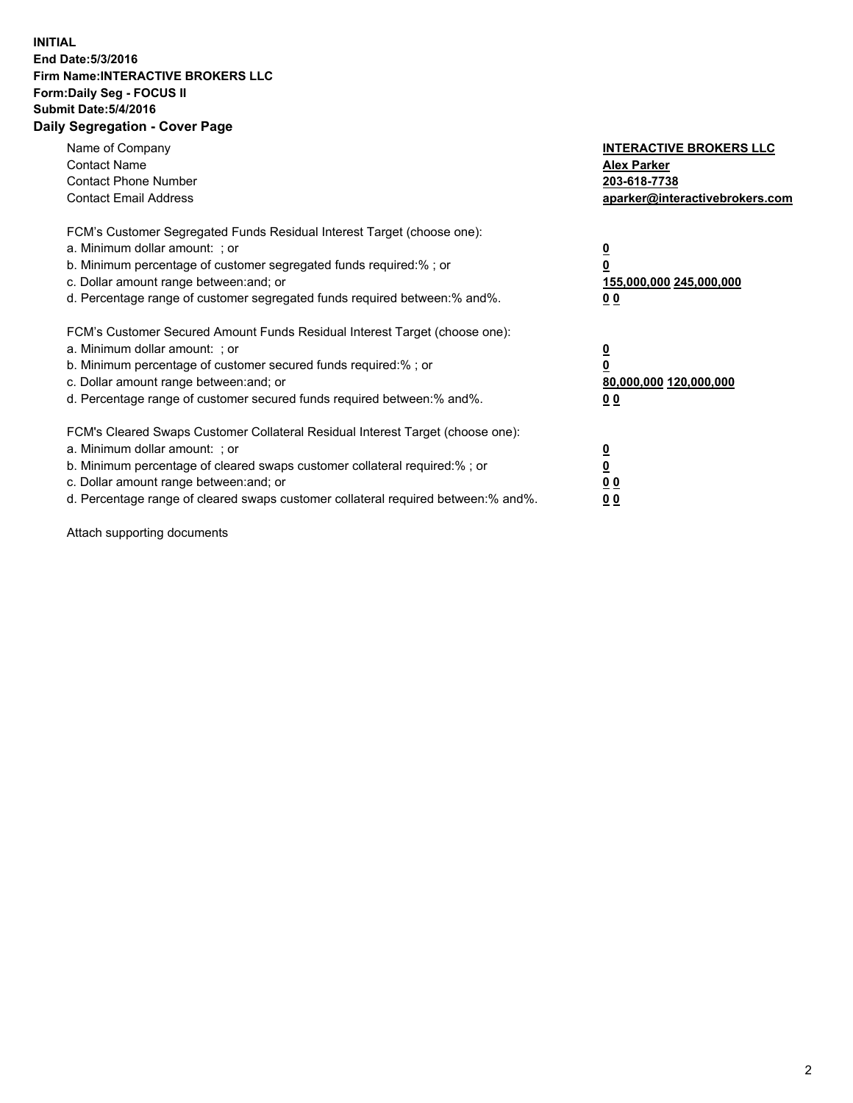## **INITIAL End Date:5/3/2016 Firm Name:INTERACTIVE BROKERS LLC Form:Daily Seg - FOCUS II Submit Date:5/4/2016 Daily Segregation - Cover Page**

| Name of Company<br><b>Contact Name</b><br><b>Contact Phone Number</b><br><b>Contact Email Address</b>                                                                                                                                                                                                                          | <b>INTERACTIVE BROKERS LLC</b><br><b>Alex Parker</b><br>203-618-7738<br>aparker@interactivebrokers.com |
|--------------------------------------------------------------------------------------------------------------------------------------------------------------------------------------------------------------------------------------------------------------------------------------------------------------------------------|--------------------------------------------------------------------------------------------------------|
| FCM's Customer Segregated Funds Residual Interest Target (choose one):<br>a. Minimum dollar amount: ; or<br>b. Minimum percentage of customer segregated funds required:%; or<br>c. Dollar amount range between: and; or<br>d. Percentage range of customer segregated funds required between:% and%.                          | <u>0</u><br>155,000,000 245,000,000<br><u>00</u>                                                       |
| FCM's Customer Secured Amount Funds Residual Interest Target (choose one):<br>a. Minimum dollar amount: ; or<br>b. Minimum percentage of customer secured funds required:%; or<br>c. Dollar amount range between: and; or<br>d. Percentage range of customer secured funds required between:% and%.                            | <u>0</u><br>80,000,000 120,000,000<br>0 <sub>0</sub>                                                   |
| FCM's Cleared Swaps Customer Collateral Residual Interest Target (choose one):<br>a. Minimum dollar amount: ; or<br>b. Minimum percentage of cleared swaps customer collateral required:% ; or<br>c. Dollar amount range between: and; or<br>d. Percentage range of cleared swaps customer collateral required between:% and%. | ₫<br>0 <sub>0</sub><br>0 <sub>0</sub>                                                                  |

Attach supporting documents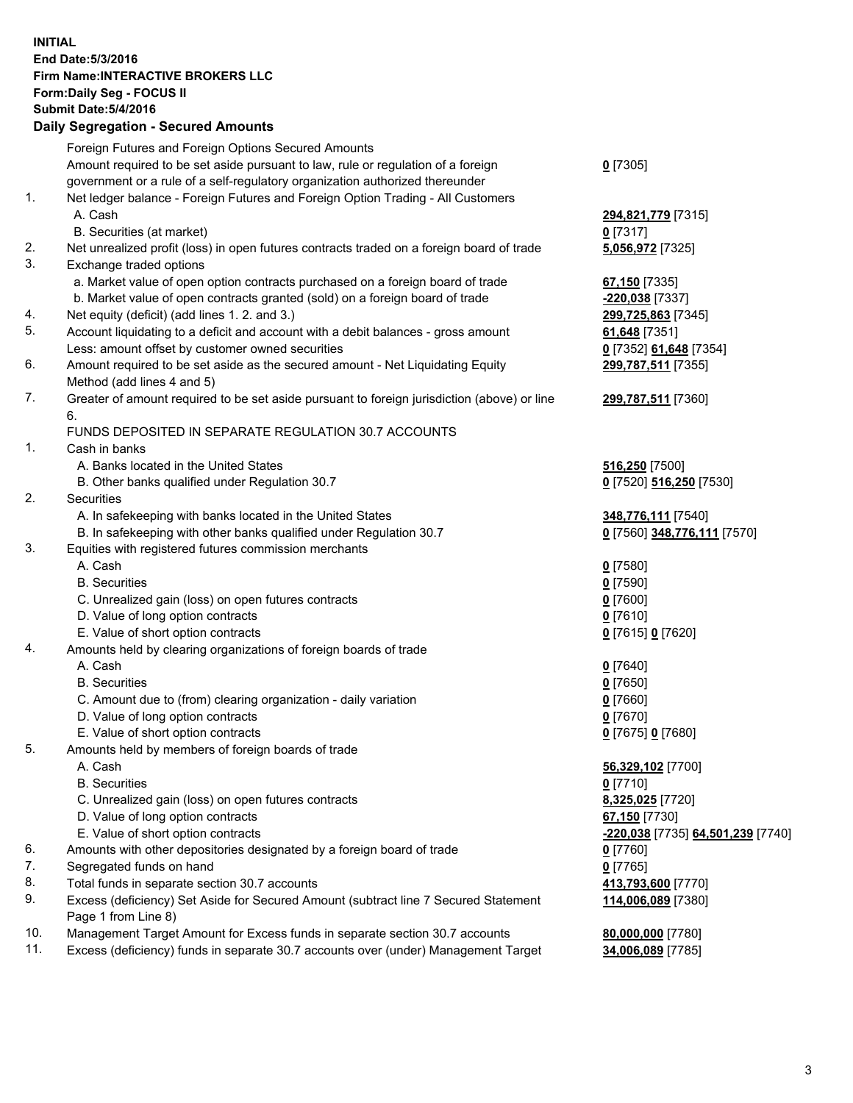## **INITIAL End Date:5/3/2016 Firm Name:INTERACTIVE BROKERS LLC Form:Daily Seg - FOCUS II Submit Date:5/4/2016 Daily Segregation - Secured Amounts**

|     | Foreign Futures and Foreign Options Secured Amounts                                         |                                   |
|-----|---------------------------------------------------------------------------------------------|-----------------------------------|
|     | Amount required to be set aside pursuant to law, rule or regulation of a foreign            | $0$ [7305]                        |
|     | government or a rule of a self-regulatory organization authorized thereunder                |                                   |
| 1.  | Net ledger balance - Foreign Futures and Foreign Option Trading - All Customers             |                                   |
|     | A. Cash                                                                                     | 294,821,779 [7315]                |
|     | B. Securities (at market)                                                                   | $0$ [7317]                        |
| 2.  | Net unrealized profit (loss) in open futures contracts traded on a foreign board of trade   | 5,056,972 [7325]                  |
| 3.  | Exchange traded options                                                                     |                                   |
|     | a. Market value of open option contracts purchased on a foreign board of trade              | 67,150 [7335]                     |
|     | b. Market value of open contracts granted (sold) on a foreign board of trade                | -220,038 [7337]                   |
| 4.  | Net equity (deficit) (add lines 1. 2. and 3.)                                               | 299,725,863 [7345]                |
| 5.  | Account liquidating to a deficit and account with a debit balances - gross amount           | 61,648 [7351]                     |
|     | Less: amount offset by customer owned securities                                            | 0 [7352] 61,648 [7354]            |
| 6.  | Amount required to be set aside as the secured amount - Net Liquidating Equity              | 299,787,511 [7355]                |
|     | Method (add lines 4 and 5)                                                                  |                                   |
| 7.  | Greater of amount required to be set aside pursuant to foreign jurisdiction (above) or line | 299,787,511 [7360]                |
|     | 6.                                                                                          |                                   |
|     | FUNDS DEPOSITED IN SEPARATE REGULATION 30.7 ACCOUNTS                                        |                                   |
| 1.  | Cash in banks                                                                               |                                   |
|     | A. Banks located in the United States                                                       | 516,250 [7500]                    |
|     | B. Other banks qualified under Regulation 30.7                                              | 0 [7520] 516,250 [7530]           |
| 2.  | Securities                                                                                  |                                   |
|     | A. In safekeeping with banks located in the United States                                   | 348,776,111 [7540]                |
|     | B. In safekeeping with other banks qualified under Regulation 30.7                          | 0 [7560] 348,776,111 [7570]       |
| 3.  | Equities with registered futures commission merchants                                       |                                   |
|     | A. Cash                                                                                     | $0$ [7580]                        |
|     | <b>B.</b> Securities                                                                        | $0$ [7590]                        |
|     | C. Unrealized gain (loss) on open futures contracts                                         | $0$ [7600]                        |
|     | D. Value of long option contracts                                                           | $0$ [7610]                        |
|     | E. Value of short option contracts                                                          | 0 [7615] 0 [7620]                 |
| 4.  | Amounts held by clearing organizations of foreign boards of trade                           |                                   |
|     | A. Cash                                                                                     | $0$ [7640]                        |
|     | <b>B.</b> Securities                                                                        | $0$ [7650]                        |
|     | C. Amount due to (from) clearing organization - daily variation                             | $0$ [7660]                        |
|     | D. Value of long option contracts                                                           | $0$ [7670]                        |
|     | E. Value of short option contracts                                                          | 0 [7675] 0 [7680]                 |
| 5.  | Amounts held by members of foreign boards of trade                                          |                                   |
|     | A. Cash                                                                                     | 56,329,102 [7700]                 |
|     | <b>B.</b> Securities                                                                        | $0$ [7710]                        |
|     | C. Unrealized gain (loss) on open futures contracts                                         | 8,325,025 [7720]                  |
|     | D. Value of long option contracts                                                           | 67,150 [7730]                     |
|     | E. Value of short option contracts                                                          | -220,038 [7735] 64,501,239 [7740] |
| 6.  | Amounts with other depositories designated by a foreign board of trade                      | $0$ [7760]                        |
| 7.  | Segregated funds on hand                                                                    | $0$ [7765]                        |
| 8.  | Total funds in separate section 30.7 accounts                                               | 413,793,600 [7770]                |
| 9.  | Excess (deficiency) Set Aside for Secured Amount (subtract line 7 Secured Statement         | 114,006,089 [7380]                |
|     | Page 1 from Line 8)                                                                         |                                   |
| 10. | Management Target Amount for Excess funds in separate section 30.7 accounts                 | 80,000,000 [7780]                 |
| 11. | Excess (deficiency) funds in separate 30.7 accounts over (under) Management Target          | 34,006,089 [7785]                 |
|     |                                                                                             |                                   |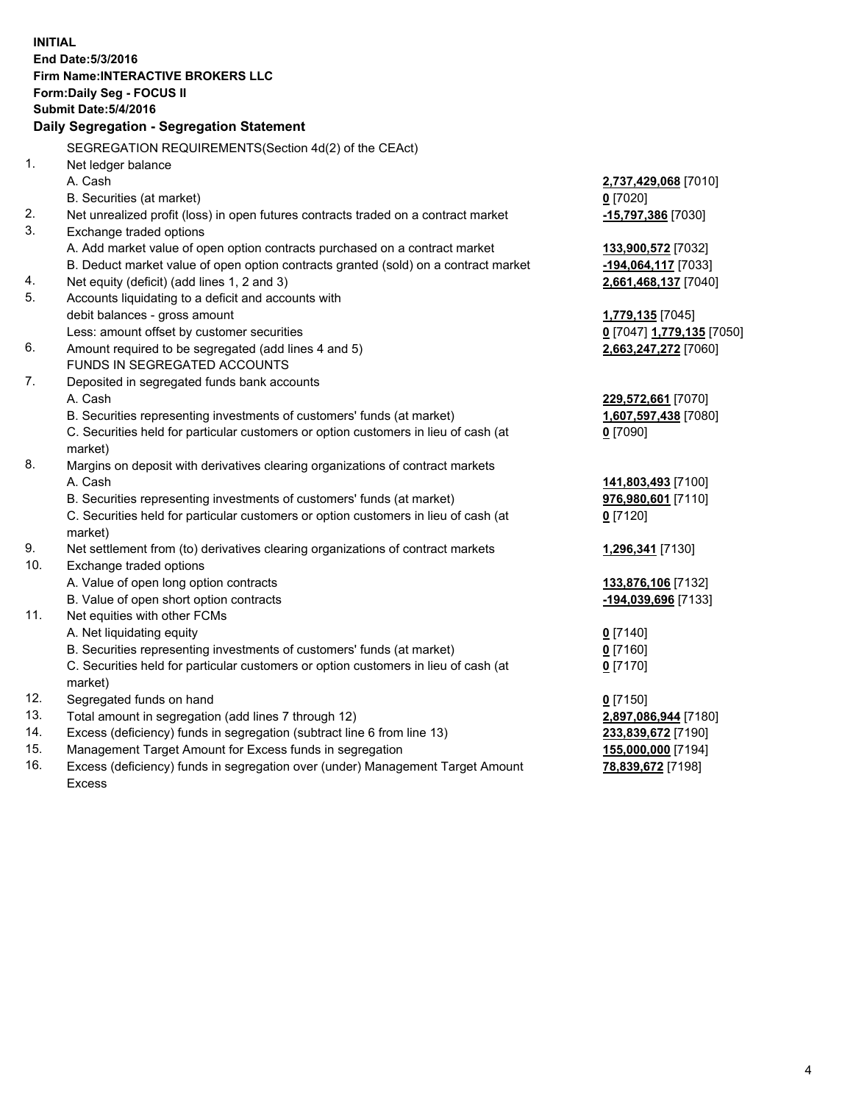**INITIAL End Date:5/3/2016 Firm Name:INTERACTIVE BROKERS LLC Form:Daily Seg - FOCUS II Submit Date:5/4/2016 Daily Segregation - Segregation Statement** SEGREGATION REQUIREMENTS(Section 4d(2) of the CEAct) 1. Net ledger balance A. Cash **2,737,429,068** [7010] B. Securities (at market) **0** [7020] 2. Net unrealized profit (loss) in open futures contracts traded on a contract market **-15,797,386** [7030] 3. Exchange traded options A. Add market value of open option contracts purchased on a contract market **133,900,572** [7032] B. Deduct market value of open option contracts granted (sold) on a contract market **-194,064,117** [7033] 4. Net equity (deficit) (add lines 1, 2 and 3) **2,661,468,137** [7040] 5. Accounts liquidating to a deficit and accounts with debit balances - gross amount **1,779,135** [7045] Less: amount offset by customer securities **0** [7047] **1,779,135** [7050] 6. Amount required to be segregated (add lines 4 and 5) **2,663,247,272** [7060] FUNDS IN SEGREGATED ACCOUNTS 7. Deposited in segregated funds bank accounts A. Cash **229,572,661** [7070] B. Securities representing investments of customers' funds (at market) **1,607,597,438** [7080] C. Securities held for particular customers or option customers in lieu of cash (at market) **0** [7090] 8. Margins on deposit with derivatives clearing organizations of contract markets A. Cash **141,803,493** [7100] B. Securities representing investments of customers' funds (at market) **976,980,601** [7110] C. Securities held for particular customers or option customers in lieu of cash (at market) **0** [7120] 9. Net settlement from (to) derivatives clearing organizations of contract markets **1,296,341** [7130] 10. Exchange traded options A. Value of open long option contracts **133,876,106** [7132] B. Value of open short option contracts **-194,039,696** [7133] 11. Net equities with other FCMs A. Net liquidating equity **0** [7140] B. Securities representing investments of customers' funds (at market) **0** [7160] C. Securities held for particular customers or option customers in lieu of cash (at market) **0** [7170] 12. Segregated funds on hand **0** [7150] 13. Total amount in segregation (add lines 7 through 12) **2,897,086,944** [7180] 14. Excess (deficiency) funds in segregation (subtract line 6 from line 13) **233,839,672** [7190] 15. Management Target Amount for Excess funds in segregation **155,000,000** [7194] **78,839,672** [7198]

16. Excess (deficiency) funds in segregation over (under) Management Target Amount Excess